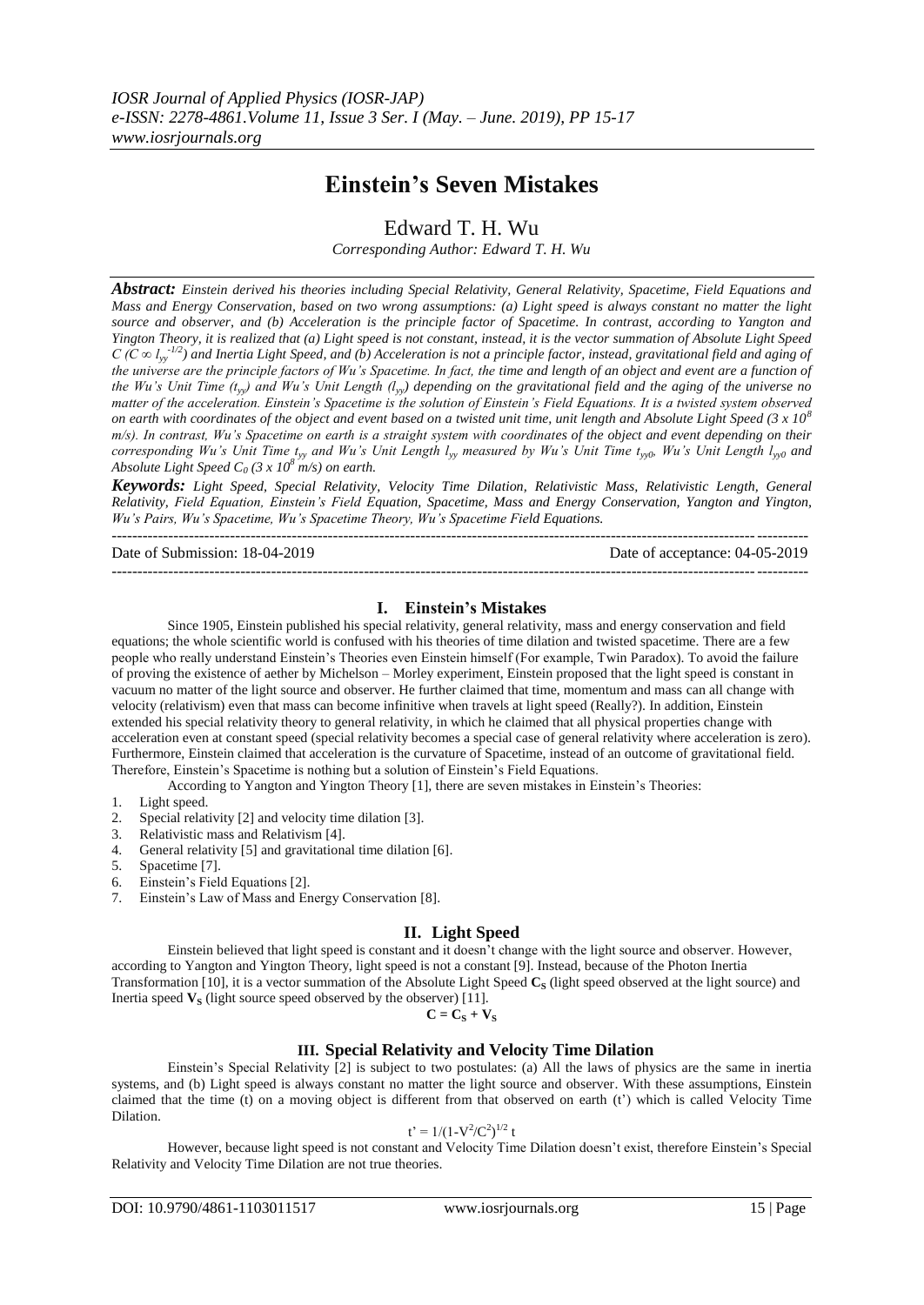# **Einstein's Seven Mistakes**

Edward T. H. Wu

*Corresponding Author: Edward T. H. Wu*

*Abstract: Einstein derived his theories including Special Relativity, General Relativity, Spacetime, Field Equations and Mass and Energy Conservation, based on two wrong assumptions: (a) Light speed is always constant no matter the light source and observer, and (b) Acceleration is the principle factor of Spacetime. In contrast, according to Yangton and Yington Theory, it is realized that (a) Light speed is not constant, instead, it is the vector summation of Absolute Light Speed*   $C$  ( $\overline{C}$   $\infty$   $l_{yy}$ <sup>-1/2</sup>) and Inertia Light Speed, and (b) Acceleration is not a principle factor, instead, gravitational field and aging of *the universe are the principle factors of Wu's Spacetime. In fact, the time and length of an object and event are a function of the Wu's Unit Time (tyy) and Wu's Unit Length (lyy) depending on the gravitational field and the aging of the universe no matter of the acceleration. Einstein's Spacetime is the solution of Einstein's Field Equations. It is a twisted system observed on earth with coordinates of the object and event based on a twisted unit time, unit length and Absolute Light Speed (3 x 10<sup>8</sup> m/s). In contrast, Wu's Spacetime on earth is a straight system with coordinates of the object and event depending on their corresponding Wu's Unit Time*  $t_{xy}$  *and Wu's Unit Length*  $l_{xy}$  *measured by Wu's Unit Time*  $t_{xy0}$ *, Wu's Unit Length*  $l_{xy0}$  *and Absolute Light Speed C<sup>0</sup> (3 x 10<sup>8</sup> m/s) on earth.*

*Keywords: Light Speed, Special Relativity, Velocity Time Dilation, Relativistic Mass, Relativistic Length, General Relativity, Field Equation, Einstein's Field Equation, Spacetime, Mass and Energy Conservation, Yangton and Yington, Wu's Pairs, Wu's Spacetime, Wu's Spacetime Theory, Wu's Spacetime Field Equations.* ---------------------------------------------------------------------------------------------------------------------------------------

Date of Submission: 18-04-2019 Date of acceptance: 04-05-2019

---------------------------------------------------------------------------------------------------------------------------------------

# **I. Einstein's Mistakes**

Since 1905, Einstein published his special relativity, general relativity, mass and energy conservation and field equations; the whole scientific world is confused with his theories of time dilation and twisted spacetime. There are a few people who really understand Einstein's Theories even Einstein himself (For example, Twin Paradox). To avoid the failure of proving the existence of aether by Michelson – Morley experiment, Einstein proposed that the light speed is constant in vacuum no matter of the light source and observer. He further claimed that time, momentum and mass can all change with velocity (relativism) even that mass can become infinitive when travels at light speed (Really?). In addition, Einstein extended his special relativity theory to general relativity, in which he claimed that all physical properties change with acceleration even at constant speed (special relativity becomes a special case of general relativity where acceleration is zero). Furthermore, Einstein claimed that acceleration is the curvature of Spacetime, instead of an outcome of gravitational field. Therefore, Einstein's Spacetime is nothing but a solution of Einstein's Field Equations.

According to Yangton and Yington Theory [1], there are seven mistakes in Einstein's Theories:

- 1. Light speed.
- 2. Special relativity [2] and velocity time dilation [3].
- 3. Relativistic mass and Relativism [4].
- 4. General relativity [5] and gravitational time dilation [6].
- 5. Spacetime [7].
- 6. Einstein's Field Equations [2].
- 7. Einstein's Law of Mass and Energy Conservation [8].

## **II. Light Speed**

Einstein believed that light speed is constant and it doesn't change with the light source and observer. However, according to Yangton and Yington Theory, light speed is not a constant [9]. Instead, because of the Photon Inertia Transformation [10], it is a vector summation of the Absolute Light Speed **C<sup>S</sup>** (light speed observed at the light source) and Inertia speed  $V_S$  (light source speed observed by the observer) [11].

$$
C = C_S + V_S
$$

# **III. Special Relativity and Velocity Time Dilation**

Einstein's Special Relativity [2] is subject to two postulates: (a) All the laws of physics are the same in inertia systems, and (b) Light speed is always constant no matter the light source and observer. With these assumptions, Einstein claimed that the time (t) on a moving object is different from that observed on earth (t') which is called Velocity Time Dilation.

$$
t' = 1/(1 - V^2/C^2)^{1/2} t
$$

However, because light speed is not constant and Velocity Time Dilation doesn't exist, therefore Einstein's Special Relativity and Velocity Time Dilation are not true theories.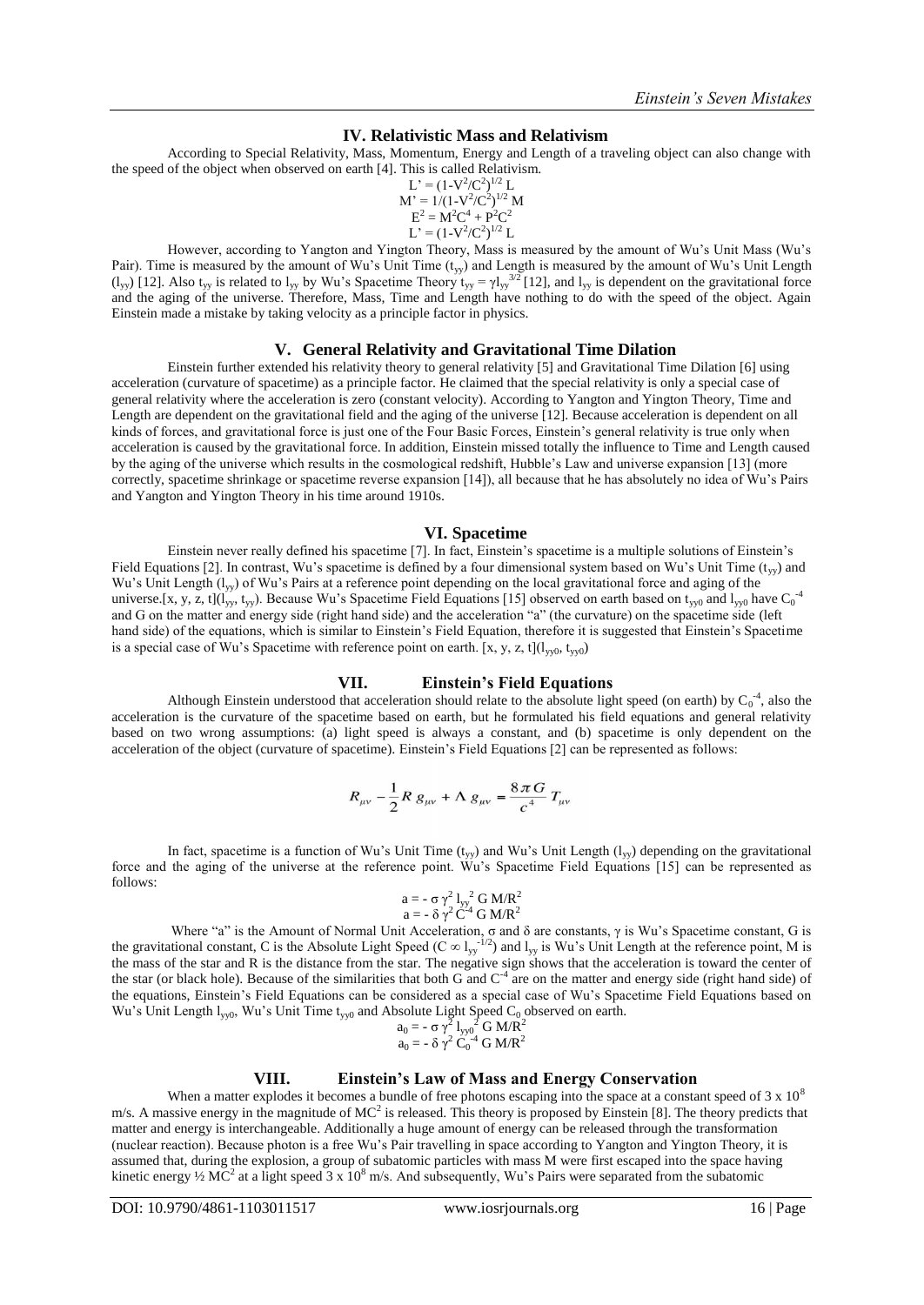## **IV. Relativistic Mass and Relativism**

According to Special Relativity, Mass, Momentum, Energy and Length of a traveling object can also change with the speed of the object when observed on earth [4]. This is called Relativism.

$$
L' = (1 - V^2/C^2)^{1/2} L
$$
  
\n
$$
M' = 1/(1 - V^2/C^2)^{1/2} M
$$
  
\n
$$
E^2 = M^2 C^4 + P^2 C^2
$$
  
\n
$$
L' = (1 - V^2/C^2)^{1/2} L
$$
  
\n
$$
M = 1
$$

However, according to Yangton and Yington Theory, Mass is measured by the amount of Wu's Unit Mass (Wu's Pair). Time is measured by the amount of Wu's Unit Time  $(t_{yy})$  and Length is measured by the amount of Wu's Unit Length  $(l_{yy})$  [12]. Also t<sub>yy</sub> is related to  $l_{yy}$  by Wu's Spacetime Theory t<sub>yy</sub> =  $\gamma l_{yy}^{3/2}$  [12], and  $l_{yy}$  is dependent on the gravitational force and the aging of the universe. Therefore, Mass, Time and Length have nothing to do with the speed of the object. Again Einstein made a mistake by taking velocity as a principle factor in physics.

## **V. General Relativity and Gravitational Time Dilation**

Einstein further extended his relativity theory to general relativity [5] and Gravitational Time Dilation [6] using acceleration (curvature of spacetime) as a principle factor. He claimed that the special relativity is only a special case of general relativity where the acceleration is zero (constant velocity). According to Yangton and Yington Theory, Time and Length are dependent on the gravitational field and the aging of the universe [12]. Because acceleration is dependent on all kinds of forces, and gravitational force is just one of the Four Basic Forces, Einstein's general relativity is true only when acceleration is caused by the gravitational force. In addition, Einstein missed totally the influence to Time and Length caused by the aging of the universe which results in the cosmological redshift, Hubble's Law and universe expansion [13] (more correctly, spacetime shrinkage or spacetime reverse expansion [14]), all because that he has absolutely no idea of Wu's Pairs and Yangton and Yington Theory in his time around 1910s.

#### **VI. Spacetime**

Einstein never really defined his spacetime [7]. In fact, Einstein's spacetime is a multiple solutions of Einstein's Field Equations [2]. In contrast, Wu's spacetime is defined by a four dimensional system based on Wu's Unit Time ( $t_{yy}$ ) and Wu's Unit Length (l<sub>yy</sub>) of Wu's Pairs at a reference point depending on the local gravitational force and aging of the universe.[x, y, z, t]( $l_{yy}$ , t<sub>yy</sub>). Because Wu's Spacetime Field Equations [15] observed on earth based on t<sub>yy0</sub> and  $l_{yy0}$  have C<sub>0</sub><sup>-4</sup> and G on the matter and energy side (right hand side) and the acceleration "a" (the curvature) on the spacetime side (left hand side) of the equations, which is similar to Einstein's Field Equation, therefore it is suggested that Einstein's Spacetime is a special case of Wu's Spacetime with reference point on earth. [x, y, z, t]( $l_{\text{vv0}}$ , t<sub>yy0</sub>)

# **VII. Einstein's Field Equations**

Although Einstein understood that acceleration should relate to the absolute light speed (on earth) by  $C_0^4$ , also the acceleration is the curvature of the spacetime based on earth, but he formulated his field equations and general relativity based on two wrong assumptions: (a) light speed is always a constant, and (b) spacetime is only dependent on the acceleration of the object (curvature of spacetime). Einstein's Field Equations [2] can be represented as follows:

$$
R_{\mu\nu} - \frac{1}{2} R g_{\mu\nu} + \Lambda g_{\mu\nu} = \frac{8\pi G}{c^4} T_{\mu\nu}
$$

In fact, spacetime is a function of Wu's Unit Time  $(t_{yy})$  and Wu's Unit Length  $(l_{yy})$  depending on the gravitational force and the aging of the universe at the reference point. Wu's Spacetime Field Equations [15] can be represented as follows:

$$
a = -\sigma \gamma^2 I_{yy}^2 G M/R^2
$$
  

$$
a = -\delta \gamma^2 C^{-4} G M/R^2
$$

Where "a" is the Amount of Normal Unit Acceleration,  $\sigma$  and  $\delta$  are constants,  $\gamma$  is Wu's Spacetime constant, G is the gravitational constant, C is the Absolute Light Speed (C  $\infty$  l<sub>yy</sub><sup>-1/2</sup>) and l<sub>yy</sub> is Wu's Unit Length at the reference point, M is the mass of the star and R is the distance from the star. The negative sign shows that the acceleration is toward the center of the star (or black hole). Because of the similarities that both G and  $C<sup>4</sup>$  are on the matter and energy side (right hand side) of the equations, Einstein's Field Equations can be considered as a special case of Wu's Spacetime Field Equations based on Wu's Unit Length  $l_{yy0}$ , Wu's Unit Time  $t_{yy0}$  and Absolute Light Speed C<sub>0</sub> observed on earth.

$$
a_0 = -\sigma \gamma^2 I_{yy0}^2 G M/R^2
$$
  

$$
a_0 = -\delta \gamma^2 C_0^{-4} G M/R^2
$$

## **VIII. Einstein's Law of Mass and Energy Conservation**

When a matter explodes it becomes a bundle of free photons escaping into the space at a constant speed of  $3 \times 10^8$ m/s. A massive energy in the magnitude of  $MC^2$  is released. This theory is proposed by Einstein [8]. The theory predicts that matter and energy is interchangeable. Additionally a huge amount of energy can be released through the transformation (nuclear reaction). Because photon is a free Wu's Pair travelling in space according to Yangton and Yington Theory, it is assumed that, during the explosion, a group of subatomic particles with mass M were first escaped into the space having kinetic energy  $\frac{1}{2}$  MC<sup>2</sup> at a light speed 3 x 10<sup>8</sup> m/s. And subsequently, Wu's Pairs were separated from the subatomic